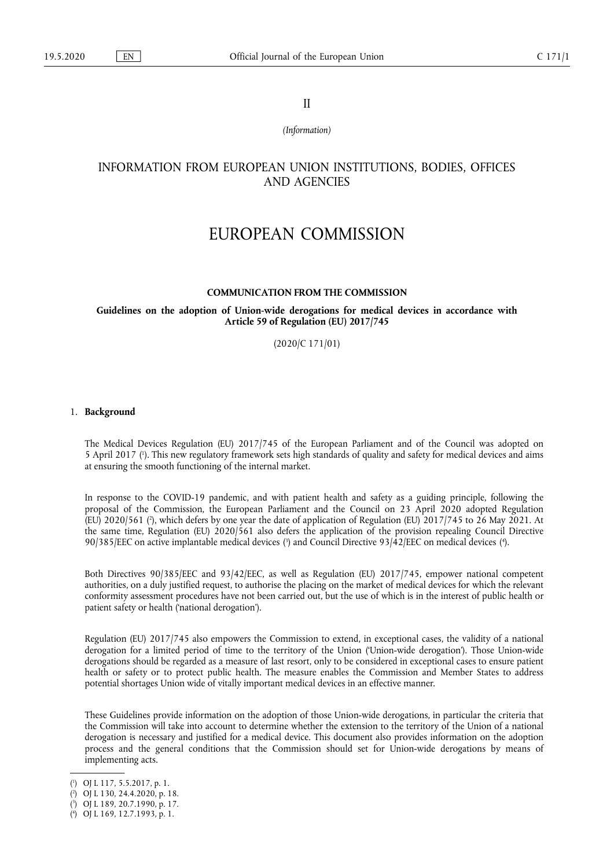II

*(Information)* 

# INFORMATION FROM EUROPEAN UNION INSTITUTIONS, BODIES, OFFICES AND AGENCIES

# EUROPEAN COMMISSION

### **COMMUNICATION FROM THE COMMISSION**

# **Guidelines on the adoption of Union-wide derogations for medical devices in accordance with Article 59 of Regulation (EU) 2017/745**

(2020/C 171/01)

### 1. **Background**

<span id="page-0-4"></span>The Medical Devices Regulation (EU) 2017/745 of the European Parliament and of the Council was adopted on 5 April 2017 ( 1 [\).](#page-0-0) This new regulatory framework sets high standards of quality and safety for medical devices and aims at ensuring the smooth functioning of the internal market.

<span id="page-0-5"></span>In response to the COVID-19 pandemic, and with patient health and safety as a guiding principle, following the proposal of the Commission, the European Parliament and the Council on 23 April 2020 adopted Regulation (EU) 2020/561 ( 2 [\),](#page-0-1) which defers by one year the date of application of Regulation (EU) 2017/745 to 26 May 2021. At the same time, Regulation (EU) 2020/561 also defers the application of the provision repealing Council Directive 90/385/EEC on active implantable medical devices [\(](#page-0-2)<sup>3</sup>) and Council Directive 93/42/EEC on medical devices (<sup>4</sup>[\).](#page-0-3)

<span id="page-0-6"></span>Both Directives 90/385/EEC and 93/42/EEC, as well as Regulation (EU) 2017/745, empower national competent authorities, on a duly justified request, to authorise the placing on the market of medical devices for which the relevant conformity assessment procedures have not been carried out, but the use of which is in the interest of public health or patient safety or health ('national derogation').

Regulation (EU) 2017/745 also empowers the Commission to extend, in exceptional cases, the validity of a national derogation for a limited period of time to the territory of the Union ('Union-wide derogation'). Those Union-wide derogations should be regarded as a measure of last resort, only to be considered in exceptional cases to ensure patient health or safety or to protect public health. The measure enables the Commission and Member States to address potential shortages Union wide of vitally important medical devices in an effective manner.

These Guidelines provide information on the adoption of those Union-wide derogations, in particular the criteria that the Commission will take into account to determine whether the extension to the territory of the Union of a national derogation is necessary and justified for a medical device. This document also provides information on the adoption process and the general conditions that the Commission should set for Union-wide derogations by means of implementing acts.

<span id="page-0-0"></span>[<sup>\(</sup>](#page-0-4) 1 ) OJ L 117, 5.5.2017, p. 1.

<span id="page-0-1"></span>[<sup>\(</sup>](#page-0-5) 2 ) OJ L 130, 24.4.2020, p. 18.

<span id="page-0-2"></span>[<sup>\(</sup>](#page-0-6) 3 ) OJ L 189, 20.7.1990, p. 17.

<span id="page-0-3"></span><sup>(</sup> 4 [\)](#page-0-6) OJ L 169, 12.7.1993, p. 1.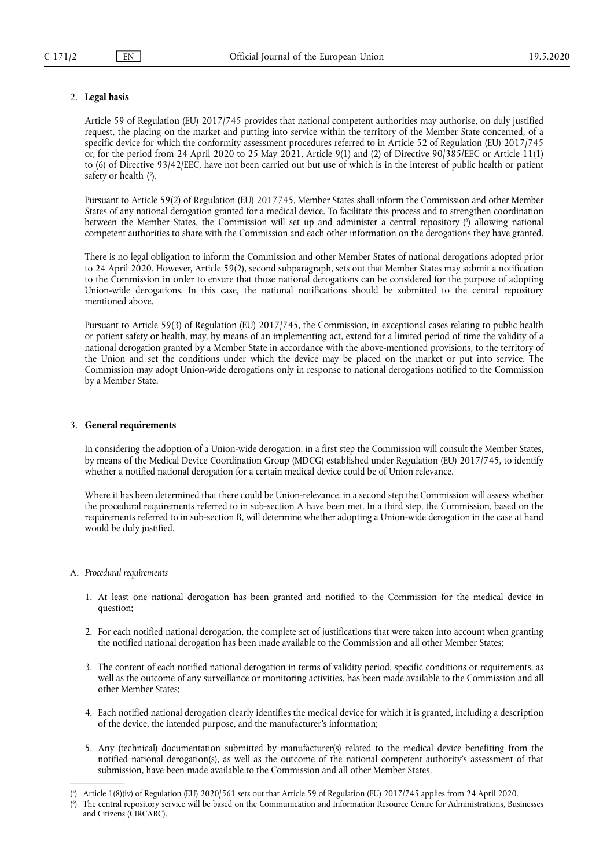# 2. **Legal basis**

Article 59 of Regulation (EU) 2017/745 provides that national competent authorities may authorise, on duly justified request, the placing on the market and putting into service within the territory of the Member State concerned, of a specific device for which the conformity assessment procedures referred to in Article 52 of Regulation (EU) 2017/745 or, for the period from 24 April 2020 to 25 May 2021, Article 9(1) and (2) of Directive 90/385/EEC or Article 11(1) to (6) of Directive 93/42/EEC, have not been carried out but use of which is in the interest of public health or patient safety or health ( 5 [\).](#page-1-0)

<span id="page-1-3"></span><span id="page-1-2"></span>Pursuant to Article 59(2) of Regulation (EU) 2017745, Member States shall inform the Commission and other Member States of any national derogation granted for a medical device. To facilitate this process and to strengthen coordination between the Member States, the Commission will set up and administer a central repository ( 6 [\)](#page-1-1) allowing national competent authorities to share with the Commission and each other information on the derogations they have granted.

There is no legal obligation to inform the Commission and other Member States of national derogations adopted prior to 24 April 2020. However, Article 59(2), second subparagraph, sets out that Member States may submit a notification to the Commission in order to ensure that those national derogations can be considered for the purpose of adopting Union-wide derogations. In this case, the national notifications should be submitted to the central repository mentioned above.

Pursuant to Article 59(3) of Regulation (EU) 2017/745, the Commission, in exceptional cases relating to public health or patient safety or health, may, by means of an implementing act, extend for a limited period of time the validity of a national derogation granted by a Member State in accordance with the above-mentioned provisions, to the territory of the Union and set the conditions under which the device may be placed on the market or put into service. The Commission may adopt Union-wide derogations only in response to national derogations notified to the Commission by a Member State.

# 3. **General requirements**

In considering the adoption of a Union-wide derogation, in a first step the Commission will consult the Member States, by means of the Medical Device Coordination Group (MDCG) established under Regulation (EU) 2017/745, to identify whether a notified national derogation for a certain medical device could be of Union relevance.

Where it has been determined that there could be Union-relevance, in a second step the Commission will assess whether the procedural requirements referred to in sub-section A have been met. In a third step, the Commission, based on the requirements referred to in sub-section B, will determine whether adopting a Union-wide derogation in the case at hand would be duly justified.

### A. *Procedural requirements*

- 1. At least one national derogation has been granted and notified to the Commission for the medical device in question;
- 2. For each notified national derogation, the complete set of justifications that were taken into account when granting the notified national derogation has been made available to the Commission and all other Member States;
- 3. The content of each notified national derogation in terms of validity period, specific conditions or requirements, as well as the outcome of any surveillance or monitoring activities, has been made available to the Commission and all other Member States;
- 4. Each notified national derogation clearly identifies the medical device for which it is granted, including a description of the device, the intended purpose, and the manufacturer's information;
- 5. Any (technical) documentation submitted by manufacturer(s) related to the medical device benefiting from the notified national derogation(s), as well as the outcome of the national competent authority's assessment of that submission, have been made available to the Commission and all other Member States.

<span id="page-1-0"></span>[<sup>\(</sup>](#page-1-2) 5 ) Article 1(8)(iv) of Regulation (EU) 2020/561 sets out that Article 59 of Regulation (EU) 2017/745 applies from 24 April 2020.

<span id="page-1-1"></span>[<sup>\(</sup>](#page-1-3) 6 ) The central repository service will be based on the Communication and Information Resource Centre for Administrations, Businesses and Citizens (CIRCABC).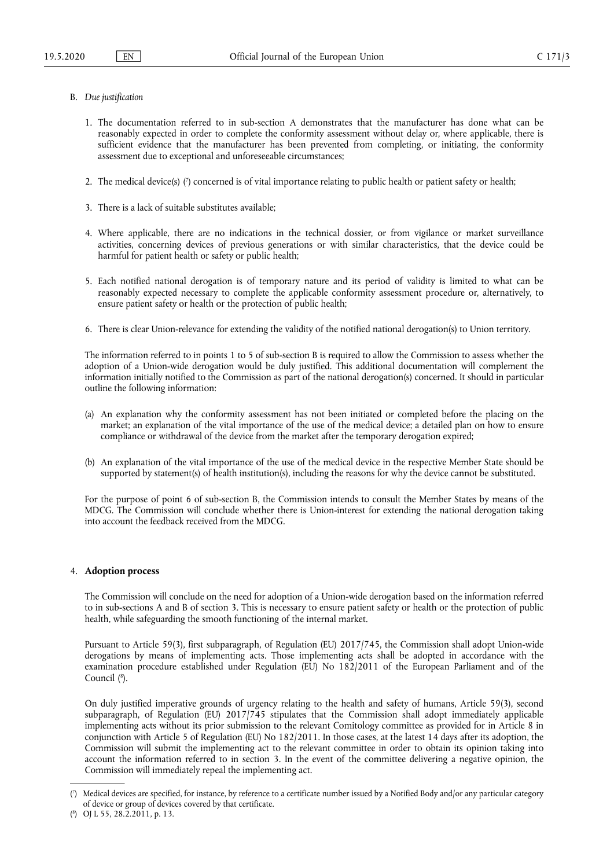- <span id="page-2-2"></span>B. *Due justification* 
	- 1. The documentation referred to in sub-section A demonstrates that the manufacturer has done what can be reasonably expected in order to complete the conformity assessment without delay or, where applicable, there is sufficient evidence that the manufacturer has been prevented from completing, or initiating, the conformity assessment due to exceptional and unforeseeable circumstances;
	- 2. The medical device(s) [\(](#page-2-0) 7 ) concerned is of vital importance relating to public health or patient safety or health;
	- 3. There is a lack of suitable substitutes available;
	- 4. Where applicable, there are no indications in the technical dossier, or from vigilance or market surveillance activities, concerning devices of previous generations or with similar characteristics, that the device could be harmful for patient health or safety or public health;
	- 5. Each notified national derogation is of temporary nature and its period of validity is limited to what can be reasonably expected necessary to complete the applicable conformity assessment procedure or, alternatively, to ensure patient safety or health or the protection of public health;
	- 6. There is clear Union-relevance for extending the validity of the notified national derogation(s) to Union territory.

The information referred to in points 1 to 5 of sub-section B is required to allow the Commission to assess whether the adoption of a Union-wide derogation would be duly justified. This additional documentation will complement the information initially notified to the Commission as part of the national derogation(s) concerned. It should in particular outline the following information:

- (a) An explanation why the conformity assessment has not been initiated or completed before the placing on the market; an explanation of the vital importance of the use of the medical device; a detailed plan on how to ensure compliance or withdrawal of the device from the market after the temporary derogation expired;
- (b) An explanation of the vital importance of the use of the medical device in the respective Member State should be supported by statement(s) of health institution(s), including the reasons for why the device cannot be substituted.

For the purpose of point 6 of sub-section B, the Commission intends to consult the Member States by means of the MDCG. The Commission will conclude whether there is Union-interest for extending the national derogation taking into account the feedback received from the MDCG.

## 4. **Adoption process**

The Commission will conclude on the need for adoption of a Union-wide derogation based on the information referred to in sub-sections A and B of section 3. This is necessary to ensure patient safety or health or the protection of public health, while safeguarding the smooth functioning of the internal market.

Pursuant to Article 59(3), first subparagraph, of Regulation (EU) 2017/745, the Commission shall adopt Union-wide derogations by means of implementing acts. Those implementing acts shall be adopted in accordance with the examination procedure established under Regulation (EU) No 182/2011 of the European Parliament and of the Council ( 8 [\).](#page-2-1)

<span id="page-2-3"></span>On duly justified imperative grounds of urgency relating to the health and safety of humans, Article 59(3), second subparagraph, of Regulation (EU) 2017/745 stipulates that the Commission shall adopt immediately applicable implementing acts without its prior submission to the relevant Comitology committee as provided for in Article 8 in conjunction with Article 5 of Regulation (EU) No 182/2011. In those cases, at the latest 14 days after its adoption, the Commission will submit the implementing act to the relevant committee in order to obtain its opinion taking into account the information referred to in section 3. In the event of the committee delivering a negative opinion, the Commission will immediately repeal the implementing act.

<span id="page-2-0"></span>[<sup>\(</sup>](#page-2-2) 7 ) Medical devices are specified, for instance, by reference to a certificate number issued by a Notified Body and/or any particular category of device or group of devices covered by that certificate.

<span id="page-2-1"></span><sup>(</sup> 8 [\)](#page-2-3) OJ L 55, 28.2.2011, p. 13.